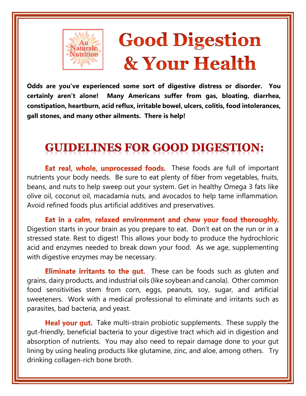

# **Good Digestion** & Your Health

Odds are you've experienced some sort of digestive distress or disorder. You certainly aren't alone! Many Americans suffer from gas, bloating, diarrhea, constipation, heartburn, acid reflux, irritable bowel, ulcers, colitis, food intolerances, gall stones, and many other ailments. There is help!

### **GUIDELINES FOR GOOD DIGESTION:**

**Eat real, whole, unprocessed foods.** These foods are full of important nutrients your body needs. Be sure to eat plenty of fiber from vegetables, fruits, beans, and nuts to help sweep out your system. Get in healthy Omega 3 fats like olive oil, coconut oil, macadamia nuts, and avocados to help tame inflammation. Avoid refined foods plus artificial additives and preservatives.

Eat in a calm, relaxed environment and chew your food thoroughly. Digestion starts in your brain as you prepare to eat. Don't eat on the run or in a stressed state. Rest to digest! This allows your body to produce the hydrochloric acid and enzymes needed to break down your food. As we age, supplementing with digestive enzymes may be necessary.

**Eliminate irritants to the gut.** These can be foods such as gluten and grains, dairy products, and industrial oils (like soybean and canola). Other common food sensitivities stem from corn, eggs, peanuts, soy, sugar, and artificial sweeteners. Work with a medical professional to eliminate and irritants such as parasites, bad bacteria, and yeast.

Heal your gut. Take multi-strain probiotic supplements. These supply the gut-friendly, beneficial bacteria to your digestive tract which aid in digestion and absorption of nutrients. You may also need to repair damage done to your gut lining by using healing products like glutamine, zinc, and aloe, among others. Try drinking collagen-rich bone broth.